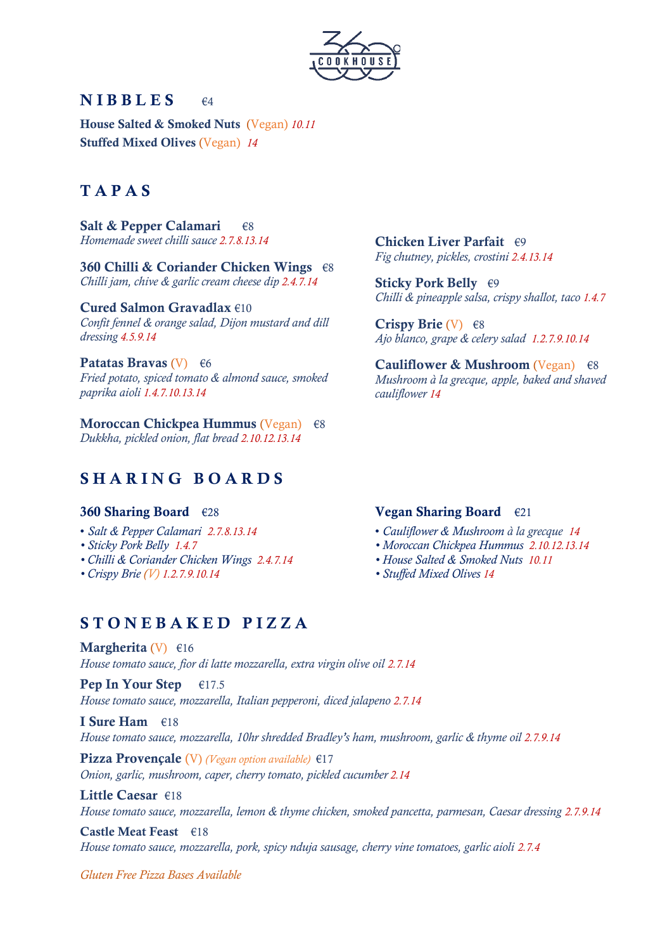

## $NIBBLES$   $\epsilon_4$

House Salted & Smoked Nuts (Vegan) *10.11* Stuffed Mixed Olives (Vegan) *14*

# T A P A S

Salt & Pepper Calamari  $\epsilon$ 8 *Homemade sweet chilli sauce 2.7.8.13.14*

360 Chilli & Coriander Chicken Wings €8 *Chilli jam, chive & garlic cream cheese dip 2.4.7.14*

Cured Salmon Gravadlax €10 *Confit fennel & orange salad, Dijon mustard and dill dressing 4.5.9.14*

Patatas Bravas (V)  $\epsilon$ 6 *Fried potato, spiced tomato & almond sauce, smoked paprika aioli 1.4.7.10.13.14* 

Moroccan Chickpea Hummus (Vegan)€8 *Dukkha, pickled onion, flat bread 2.10.12.13.14*

# SHARING BOARDS

#### 360 Sharing Board €28

- *Salt & Pepper Calamari 2.7.8.13.14*
- *Sticky Pork Belly 1.4.7*
- *Chilli & Coriander Chicken Wings 2.4.7.14*
- *Crispy Brie (V) 1.2.7.9.10.14*

Chicken Liver Parfait €9 *Fig chutney, pickles, crostini 2.4.13.14*

Sticky Pork Belly €9 *Chilli & pineapple salsa, crispy shallot, taco 1.4.7* 

Crispy Brie (V)  $\epsilon$ 8 *Ajo blanco, grape & celery salad 1.2.7.9.10.14* 

Cauliflower & Mushroom (Vegan)  $\epsilon$ 8 *Mushroom à la grecque, apple, baked and shaved cauliflower 14*

#### Vegan Sharing Board  $\epsilon_{21}$

- *Cauliflower & Mushroom à la grecque 14*
- *Moroccan Chickpea Hummus 2.10.12.13.14*
- *House Salted & Smoked Nuts 10.11*
- *Stuffed Mixed Olives 14*

## S T O N E B A K E D P I Z Z A

Margherita (V)  $\epsilon$ 16 *House tomato sauce, fior di latte mozzarella, extra virgin olive oil 2.7.14*

Pep In Your Step  $\epsilon$ 17.5 *House tomato sauce, mozzarella, Italian pepperoni, diced jalapeno 2.7.14*

I Sure Ham €18 *House tomato sauce, mozzarella, 10hr shredded Bradley's ham, mushroom, garlic & thyme oil 2.7.9.14*

Pizza Provençale (V) *(Vegan option available)* €17 *Onion, garlic, mushroom, caper, cherry tomato, pickled cucumber 2.14*

#### Little Caesar €18

*House tomato sauce, mozzarella, lemon & thyme chicken, smoked pancetta, parmesan, Caesar dressing 2.7.9.14*

### Castle Meat Feast €18

*House tomato sauce, mozzarella, pork, spicy nduja sausage, cherry vine tomatoes, garlic aioli 2.7.4*

*Gluten Free Pizza Bases Available*